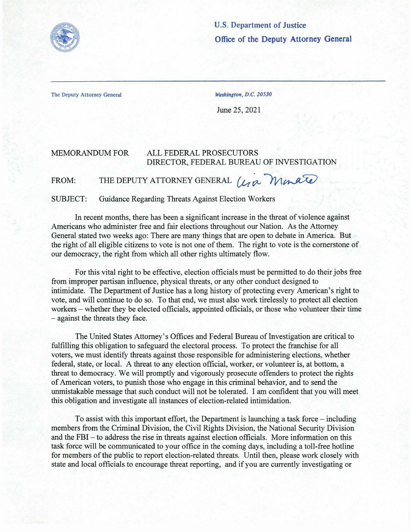

**U.S. Department of Justice Office of the Deputy Attorney General** 

The Deputy Attorney General Washington, D.C. 20530

June 25, 2021

## MEMORANDUM FOR ALL FEDERAL PROSECUTORS DIRECTOR, FEDERAL BUREAU OF INVESTIGATION

FROM: THE DEPUTY ATTORNEY GENERAL *(40* Monde)

SUBJECT: Guidance Regarding Threats Against Election Workers

In recent months, there has been a significant increase in the threat of violence against Americans who administer free and fair elections throughout our Nation. As the Attorney General stated two weeks ago: There are many things that are open to debate in America. But the right of all eligible citizens to vote is not one of them. The right to vote is the cornerstone of our democracy, the right from which all other rights ultimately flow.

For this vital right to be effective, election officials must be permitted to do their jobs free from improper partisan influence, physical threats, or any other conduct designed to intimidate. The Department of Justice has a long history of protecting every American's right to vote, and will continue to do so. To that end, we must also work tirelessly to protect all election workers – whether they be elected officials, appointed officials, or those who volunteer their time - against the threats they face.

The United States Attorney's Offices and Federal Bureau of Investigation are critical to fulfilling this obligation to safeguard the electoral process. To protect the franchise for all voters, we must identify threats against those responsible for administering elections, whether federal, state, or local. A threat to any election official, worker, or volunteer is, at bottom, a threat to democracy. We will promptly and vigorously prosecute offenders to protect the rights ofAmerican voters, to punish those who engage in this criminal behavior, and to send the unmistakable message that such conduct will not be tolerated. I am confident that you will meet this obligation and investigate all instances of election-related intimidation.

To assist with this important effort, the Department is launching a task force – including members from the Criminal Division, the Civil Rights Division, the National Security Division and the FBI - to address the rise in threats against election officials. More information on this task force will be communicated to your office in the coming days, including a toll-free hotline for members of the public to report election-related threats. Until then, please work closely with state and local officials to encourage threat reporting, and if you are currently investigating or